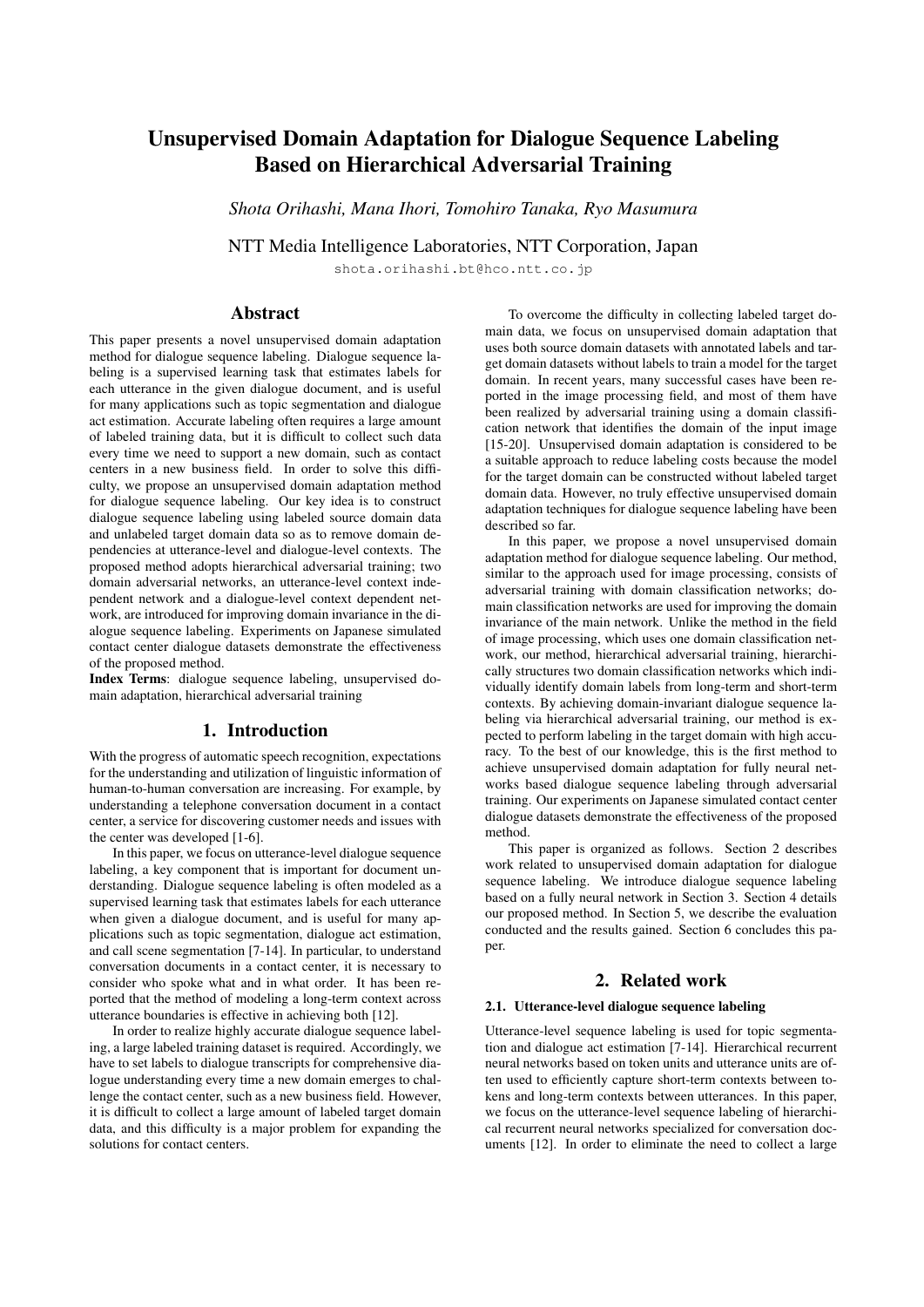# Unsupervised Domain Adaptation for Dialogue Sequence Labeling Based on Hierarchical Adversarial Training

*Shota Orihashi, Mana Ihori, Tomohiro Tanaka, Ryo Masumura*

NTT Media Intelligence Laboratories, NTT Corporation, Japan

shota.orihashi.bt@hco.ntt.co.jp

# Abstract

This paper presents a novel unsupervised domain adaptation method for dialogue sequence labeling. Dialogue sequence labeling is a supervised learning task that estimates labels for each utterance in the given dialogue document, and is useful for many applications such as topic segmentation and dialogue act estimation. Accurate labeling often requires a large amount of labeled training data, but it is difficult to collect such data every time we need to support a new domain, such as contact centers in a new business field. In order to solve this difficulty, we propose an unsupervised domain adaptation method for dialogue sequence labeling. Our key idea is to construct dialogue sequence labeling using labeled source domain data and unlabeled target domain data so as to remove domain dependencies at utterance-level and dialogue-level contexts. The proposed method adopts hierarchical adversarial training; two domain adversarial networks, an utterance-level context independent network and a dialogue-level context dependent network, are introduced for improving domain invariance in the dialogue sequence labeling. Experiments on Japanese simulated contact center dialogue datasets demonstrate the effectiveness of the proposed method.

Index Terms: dialogue sequence labeling, unsupervised domain adaptation, hierarchical adversarial training

## 1. Introduction

With the progress of automatic speech recognition, expectations for the understanding and utilization of linguistic information of human-to-human conversation are increasing. For example, by understanding a telephone conversation document in a contact center, a service for discovering customer needs and issues with the center was developed [1-6].

In this paper, we focus on utterance-level dialogue sequence labeling, a key component that is important for document understanding. Dialogue sequence labeling is often modeled as a supervised learning task that estimates labels for each utterance when given a dialogue document, and is useful for many applications such as topic segmentation, dialogue act estimation, and call scene segmentation [7-14]. In particular, to understand conversation documents in a contact center, it is necessary to consider who spoke what and in what order. It has been reported that the method of modeling a long-term context across utterance boundaries is effective in achieving both [12].

In order to realize highly accurate dialogue sequence labeling, a large labeled training dataset is required. Accordingly, we have to set labels to dialogue transcripts for comprehensive dialogue understanding every time a new domain emerges to challenge the contact center, such as a new business field. However, it is difficult to collect a large amount of labeled target domain data, and this difficulty is a major problem for expanding the solutions for contact centers.

To overcome the difficulty in collecting labeled target domain data, we focus on unsupervised domain adaptation that uses both source domain datasets with annotated labels and target domain datasets without labels to train a model for the target domain. In recent years, many successful cases have been reported in the image processing field, and most of them have been realized by adversarial training using a domain classification network that identifies the domain of the input image [15-20]. Unsupervised domain adaptation is considered to be a suitable approach to reduce labeling costs because the model for the target domain can be constructed without labeled target domain data. However, no truly effective unsupervised domain adaptation techniques for dialogue sequence labeling have been described so far.

In this paper, we propose a novel unsupervised domain adaptation method for dialogue sequence labeling. Our method, similar to the approach used for image processing, consists of adversarial training with domain classification networks; domain classification networks are used for improving the domain invariance of the main network. Unlike the method in the field of image processing, which uses one domain classification network, our method, hierarchical adversarial training, hierarchically structures two domain classification networks which individually identify domain labels from long-term and short-term contexts. By achieving domain-invariant dialogue sequence labeling via hierarchical adversarial training, our method is expected to perform labeling in the target domain with high accuracy. To the best of our knowledge, this is the first method to achieve unsupervised domain adaptation for fully neural networks based dialogue sequence labeling through adversarial training. Our experiments on Japanese simulated contact center dialogue datasets demonstrate the effectiveness of the proposed method.

This paper is organized as follows. Section 2 describes work related to unsupervised domain adaptation for dialogue sequence labeling. We introduce dialogue sequence labeling based on a fully neural network in Section 3. Section 4 details our proposed method. In Section 5, we describe the evaluation conducted and the results gained. Section 6 concludes this paper.

# 2. Related work

#### 2.1. Utterance-level dialogue sequence labeling

Utterance-level sequence labeling is used for topic segmentation and dialogue act estimation [7-14]. Hierarchical recurrent neural networks based on token units and utterance units are often used to efficiently capture short-term contexts between tokens and long-term contexts between utterances. In this paper, we focus on the utterance-level sequence labeling of hierarchical recurrent neural networks specialized for conversation documents [12]. In order to eliminate the need to collect a large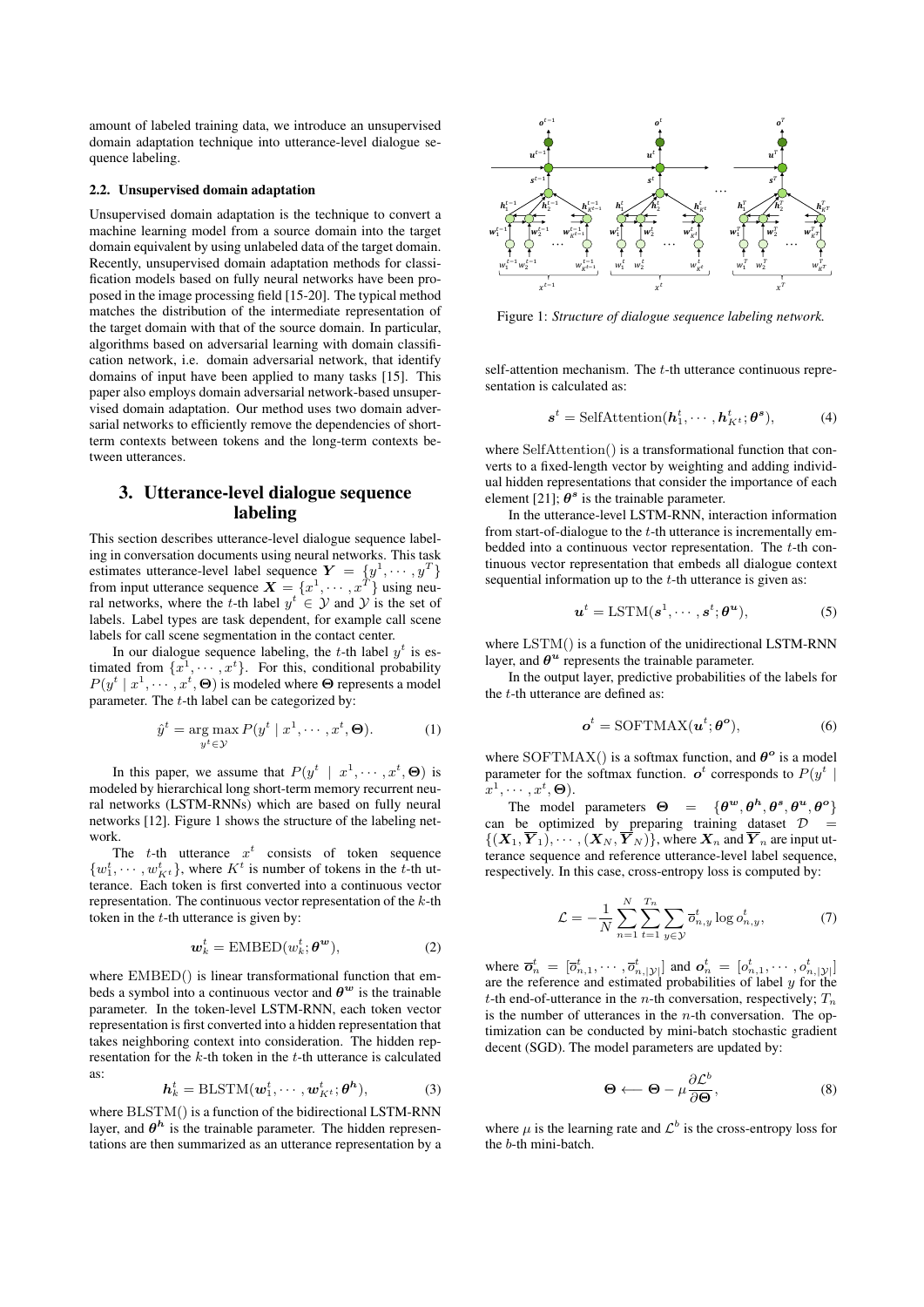amount of labeled training data, we introduce an unsupervised domain adaptation technique into utterance-level dialogue sequence labeling.

#### 2.2. Unsupervised domain adaptation

Unsupervised domain adaptation is the technique to convert a machine learning model from a source domain into the target domain equivalent by using unlabeled data of the target domain. Recently, unsupervised domain adaptation methods for classification models based on fully neural networks have been proposed in the image processing field [15-20]. The typical method matches the distribution of the intermediate representation of the target domain with that of the source domain. In particular, algorithms based on adversarial learning with domain classification network, i.e. domain adversarial network, that identify domains of input have been applied to many tasks [15]. This paper also employs domain adversarial network-based unsupervised domain adaptation. Our method uses two domain adversarial networks to efficiently remove the dependencies of shortterm contexts between tokens and the long-term contexts between utterances. domain equivalently using unital data of the target domain. <br>
Second, the summarized as an utterance representation of the  $\frac{5}{4}$  Channel as a<br>
representation and the summarized as an utterance in the summarization of

# 3. Utterance-level dialogue sequence labeling

This section describes utterance-level dialogue sequence labeling in conversation documents using neural networks. This task estimates utterance-level label sequence  $\boldsymbol{Y}~=~\{y^1,\cdots,y^T\}$ from input utterance sequence  $\mathbf{X} = \{x^1, \cdots, x^T\}$  using neural networks, where the t-th label  $y^t \in Y$  and Y is the set of labels. Label types are task dependent, for example call scene labels for call scene segmentation in the contact center.

In our dialogue sequence labeling, the t-th label  $y^t$  is estimated from  $\{x^1, \dots, x^t\}$ . For this, conditional probability  $P(y^t | x^1, \dots, x^t, \Theta)$  is modeled where  $\Theta$  represents a model parameter. The  $t$ -th label can be categorized by:

$$
\hat{y}^t = \underset{y^t \in \mathcal{Y}}{\arg \max} P(y^t \mid x^1, \cdots, x^t, \Theta). \tag{1}
$$

In this paper, we assume that  $P(y^t | x^1, \dots, x^t, \Theta)$  is modeled by hierarchical long short-term memory recurrent neural networks (LSTM-RNNs) which are based on fully neural networks [12]. Figure 1 shows the structure of the labeling network.

The t-th utterance  $x^t$  consists of token sequence  $\{w_1^t, \dots, w_{K^t}^t\}$ , where  $K^t$  is number of tokens in the t-th utterance. Each token is first converted into a continuous vector representation. The continuous vector representation of the  $k$ -th token in the  $t$ -th utterance is given by:

$$
\boldsymbol{w}_k^t = \text{EMBED}(w_k^t; \boldsymbol{\theta}^{\boldsymbol{w}}),\tag{2}
$$

where  $EMBED()$  is linear transformational function that embeds a symbol into a continuous vector and  $\theta^w$  is the trainable parameter. In the token-level LSTM-RNN, each token vector representation is first converted into a hidden representation that takes neighboring context into consideration. The hidden representation for the  $k$ -th token in the  $t$ -th utterance is calculated as:

$$
\boldsymbol{h}_k^t = \text{BLSTM}(\boldsymbol{w}_1^t, \cdots, \boldsymbol{w}_{K^t}^t; \boldsymbol{\theta}^h),
$$
 (3)

where BLSTM() is a function of the bidirectional LSTM-RNN layer, and  $\theta^h$  is the trainable parameter. The hidden represen-



Figure 1: *Structure of dialogue sequence labeling network.*

self-attention mechanism. The  $t$ -th utterance continuous representation is calculated as:

$$
\boldsymbol{s}^{t} = \text{SelfAttention}(\boldsymbol{h}_{1}^{t}, \cdots, \boldsymbol{h}_{K^{t}}^{t}; \boldsymbol{\theta}^{s}),
$$
 (4)

where SelfAttention() is a transformational function that converts to a fixed-length vector by weighting and adding individual hidden representations that consider the importance of each element [21];  $\theta^s$  is the trainable parameter.

In the utterance-level LSTM-RNN, interaction information from start-of-dialogue to the t-th utterance is incrementally embedded into a continuous vector representation. The t-th continuous vector representation that embeds all dialogue context sequential information up to the  $t$ -th utterance is given as:

$$
\boldsymbol{u}^{t} = \text{LSTM}(\boldsymbol{s}^{1}, \cdots, \boldsymbol{s}^{t}; \boldsymbol{\theta}^{\boldsymbol{u}}), \tag{5}
$$

where LSTM() is a function of the unidirectional LSTM-RNN layer, and  $\theta^u$  represents the trainable parameter.

In the output layer, predictive probabilities of the labels for the t-th utterance are defined as:

$$
\boldsymbol{o}^{t} = \text{SOFTMAX}(\boldsymbol{u}^{t}; \boldsymbol{\theta}^{\text{o}}), \tag{6}
$$

where SOFTMAX() is a softmax function, and  $\theta^o$  is a model parameter for the softmax function.  $o^t$  corresponds to  $P(y^t |$  $\bigl[x^1, \cdots, x^t, \boldsymbol{\Theta} \bigr) .$ 

The model parameters  $\Theta = {\theta^w, \theta^h, \theta^s, \theta^u, \theta^o}$ can be optimized by preparing training dataset  $\mathcal{D}$  =  $\{(\boldsymbol{X}_1, \boldsymbol{Y}_1), \cdots, (\boldsymbol{X}_N, \boldsymbol{Y}_N)\}\$ , where  $\boldsymbol{X}_n$  and  $\boldsymbol{Y}_n$  are input utterance sequence and reference utterance-level label sequence, respectively. In this case, cross-entropy loss is computed by:

$$
\mathcal{L} = -\frac{1}{N} \sum_{n=1}^{N} \sum_{t=1}^{T_n} \sum_{y \in \mathcal{Y}} \overline{o}_{n,y}^t \log o_{n,y}^t, \tag{7}
$$

where  $\overline{o}_n^t = [\overline{o}_{n,1}^t, \cdots, \overline{o}_{n,|\mathcal{Y}|}^t]$  and  $o_n^t = [o_{n,1}^t, \cdots, o_{n,|\mathcal{Y}|}^t]$ are the reference and estimated probabilities of label  $y$  for the t-th end-of-utterance in the *n*-th conversation, respectively;  $T_n$ is the number of utterances in the  $n$ -th conversation. The optimization can be conducted by mini-batch stochastic gradient decent (SGD). The model parameters are updated by:

$$
\Theta \longleftarrow \Theta - \mu \frac{\partial \mathcal{L}^b}{\partial \Theta},\tag{8}
$$

where  $\mu$  is the learning rate and  $\mathcal{L}^b$  is the cross-entropy loss for the b-th mini-batch.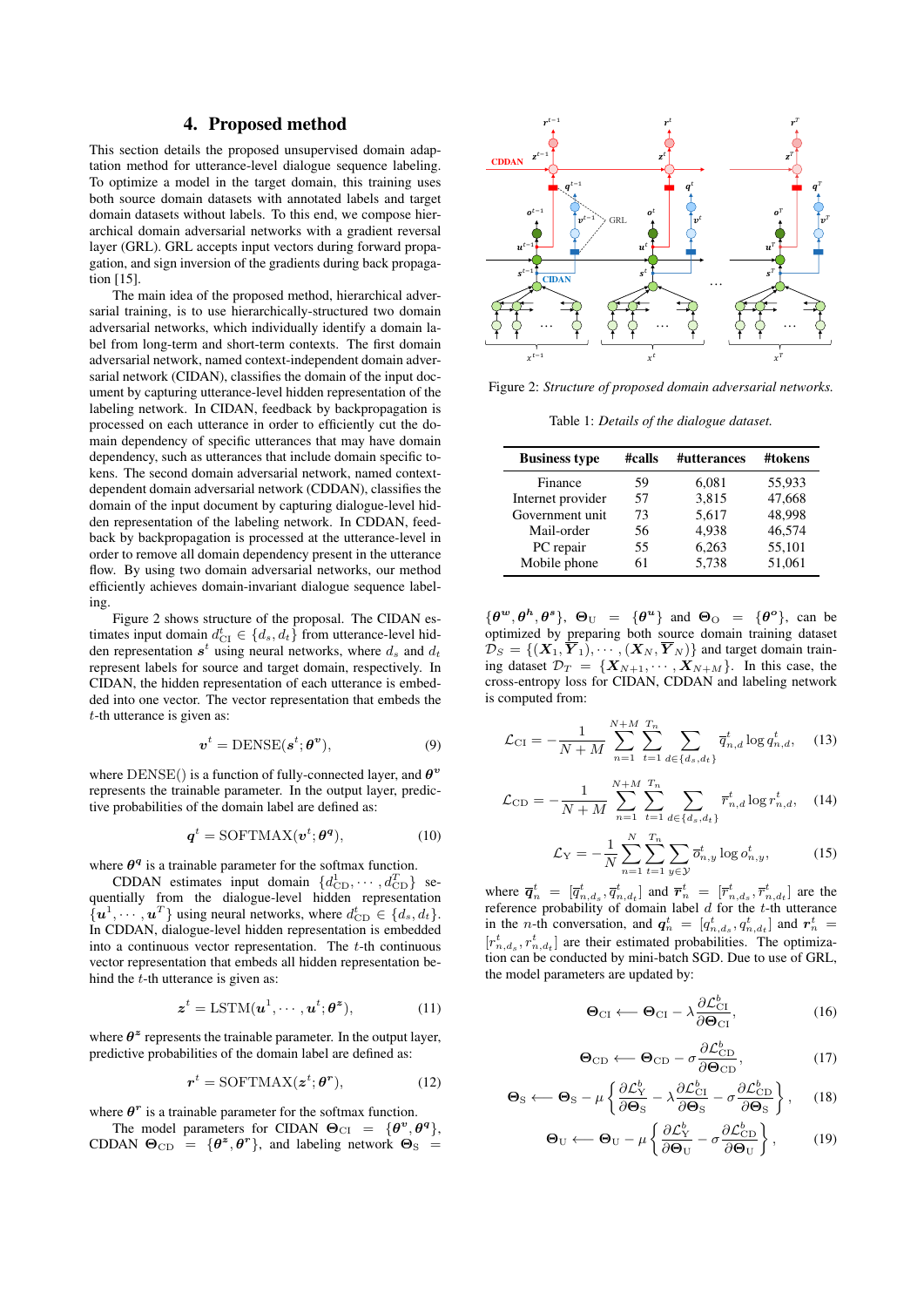## 4. Proposed method

This section details the proposed unsupervised domain adaptation method for utterance-level dialogue sequence labeling. To optimize a model in the target domain, this training uses both source domain datasets with annotated labels and target domain datasets without labels. To this end, we compose hierarchical domain adversarial networks with a gradient reversal layer (GRL). GRL accepts input vectors during forward propagation, and sign inversion of the gradients during back propagation [15].

The main idea of the proposed method, hierarchical adversarial training, is to use hierarchically-structured two domain adversarial networks, which individually identify a domain label from long-term and short-term contexts. The first domain adversarial network, named context-independent domain adversarial network (CIDAN), classifies the domain of the input document by capturing utterance-level hidden representation of the labeling network. In CIDAN, feedback by backpropagation is processed on each utterance in order to efficiently cut the domain dependency of specific utterances that may have domain dependency, such as utterances that include domain specific tokens. The second domain adversarial network, named contextdependent domain adversarial network (CDDAN), classifies the domain of the input document by capturing dialogue-level hidden representation of the labeling network. In CDDAN, feedback by backpropagation is processed at the utterance-level in order to remove all domain dependency present in the utterance flow. By using two domain adversarial networks, our method efficiently achieves domain-invariant dialogue sequence labeling.

Figure 2 shows structure of the proposal. The CIDAN estimates input domain  $d_{\text{CI}}^t \in \{d_s, d_t\}$  from utterance-level hidden representation  $s^t$  using neural networks, where  $d_s$  and  $d_t$ represent labels for source and target domain, respectively. In CIDAN, the hidden representation of each utterance is embedded into one vector. The vector representation that embeds the  $t$ -th utterance is given as:

$$
\boldsymbol{v}^t = \text{DENSE}(\boldsymbol{s}^t; \boldsymbol{\theta}^{\boldsymbol{v}}),\tag{9}
$$

where  $\text{DENSE}()$  is a function of fully-connected layer, and  $\theta^v$ represents the trainable parameter. In the output layer, predictive probabilities of the domain label are defined as:

$$
\boldsymbol{q}^t = \text{SOFTMAX}(\boldsymbol{v}^t; \boldsymbol{\theta^q}),\tag{10}
$$

where  $\theta^q$  is a trainable parameter for the softmax function.

CDDAN estimates input domain  $\{d_{\text{CD}}^1, \cdots, d_{\text{CD}}^T\}$  sequentially from the dialogue-level hidden representation  $\{u^1, \dots, u^T\}$  using neural networks, where  $d_{\text{CD}}^t \in \{d_s, d_t\}.$ In CDDAN, dialogue-level hidden representation is embedded into a continuous vector representation. The  $t$ -th continuous vector representation that embeds all hidden representation behind the *t*-th utterance is given as:

$$
\boldsymbol{z}^{t} = \text{LSTM}(\boldsymbol{u}^{1}, \cdots, \boldsymbol{u}^{t}; \boldsymbol{\theta}^{\boldsymbol{z}}),
$$
 (11)

where  $\theta^z$  represents the trainable parameter. In the output layer, predictive probabilities of the domain label are defined as:

$$
r^t = \text{SOFTMAX}(\boldsymbol{z}^t; \boldsymbol{\theta}^r),\tag{12}
$$

where  $\theta^r$  is a trainable parameter for the softmax function.

The model parameters for CIDAN  $\Theta_{CI} = \{\theta^v, \theta^q\},\$ CDDAN  $\Theta_{CD} = {\theta^z, \theta^r}$ , and labeling network  $\Theta_{S}$  =



Figure 2: *Structure of proposed domain adversarial networks.*

Table 1: *Details of the dialogue dataset.*

| <b>Business type</b> | #calls | #utterances | #tokens |
|----------------------|--------|-------------|---------|
| Finance              | 59     | 6,081       | 55,933  |
| Internet provider    | 57     | 3,815       | 47,668  |
| Government unit      | 73     | 5,617       | 48,998  |
| Mail-order           | 56     | 4,938       | 46,574  |
| PC repair            | 55     | 6,263       | 55,101  |
| Mobile phone         | 61     | 5,738       | 51,061  |

 $\{\theta^w, \theta^h, \theta^s\}, \Theta_{\text{U}} = \{\theta^u\}$  and  $\Theta_{\text{O}} = \{\theta^o\},\$ can be optimized by preparing both source domain training dataset  $\mathcal{D}_S = \{(\boldsymbol{X}_1, \boldsymbol{\overline{Y}}_1), \cdots, (\boldsymbol{X}_N, \boldsymbol{\overline{Y}}_N)\}\$ and target domain training dataset  $\mathcal{D}_T = \{ \mathbf{X}_{N+1}, \cdots, \mathbf{X}_{N+M} \}$ . In this case, the cross-entropy loss for CIDAN, CDDAN and labeling network is computed from:

$$
\mathcal{L}_{\text{CI}} = -\frac{1}{N+M} \sum_{n=1}^{N+M} \sum_{t=1}^{T_n} \sum_{d \in \{d_s, d_t\}} \overline{q}_{n,d}^t \log q_{n,d}^t, \quad (13)
$$

$$
\mathcal{L}_{\text{CD}} = -\frac{1}{N+M} \sum_{n=1}^{N+M} \sum_{t=1}^{T_n} \sum_{d \in \{d_s, d_t\}} \overline{r}_{n,d}^t \log r_{n,d}^t, \quad (14)
$$

$$
\mathcal{L}_{Y} = -\frac{1}{N} \sum_{n=1}^{N} \sum_{t=1}^{T_n} \sum_{y \in \mathcal{Y}} \bar{o}_{n,y}^t \log o_{n,y}^t, \tag{15}
$$

where  $\overline{q}_n^t = [\overline{q}_{n,d_s}^t, \overline{q}_{n,d_t}^t]$  and  $\overline{r}_n^t = [\overline{r}_{n,d_s}^t, \overline{r}_{n,d_t}^t]$  are the reference probability of domain label  $d$  for the  $t$ -th utterance in the *n*-th conversation, and  $q_n^t = [q_{n,d_s}^t, q_{n,d_t}^t]$  and  $r_n^t =$  $[r_{n,d_s}^t, r_{n,d_t}^t]$  are their estimated probabilities. The optimization can be conducted by mini-batch SGD. Due to use of GRL, the model parameters are updated by:

$$
\Theta_{\text{CI}} \leftarrow \Theta_{\text{CI}} - \lambda \frac{\partial \mathcal{L}_{\text{CI}}^{b}}{\partial \Theta_{\text{CI}}},\tag{16}
$$

$$
\Theta_{\rm CD} \leftarrow \Theta_{\rm CD} - \sigma \frac{\partial \mathcal{L}_{\rm CD}^{b}}{\partial \Theta_{\rm CD}}, \qquad (17)
$$

$$
\Theta_{\rm S} \longleftarrow \Theta_{\rm S} - \mu \left\{ \frac{\partial \mathcal{L}_{\rm Y}^b}{\partial \Theta_{\rm S}} - \lambda \frac{\partial \mathcal{L}_{\rm CI}^b}{\partial \Theta_{\rm S}} - \sigma \frac{\partial \mathcal{L}_{\rm CD}^b}{\partial \Theta_{\rm S}} \right\},\qquad(18)
$$

$$
\Theta_{\text{U}} \longleftarrow \Theta_{\text{U}} - \mu \left\{ \frac{\partial \mathcal{L}_{\text{Y}}^{b}}{\partial \Theta_{\text{U}}} - \sigma \frac{\partial \mathcal{L}_{\text{CD}}^{b}}{\partial \Theta_{\text{U}}} \right\},\qquad(19)
$$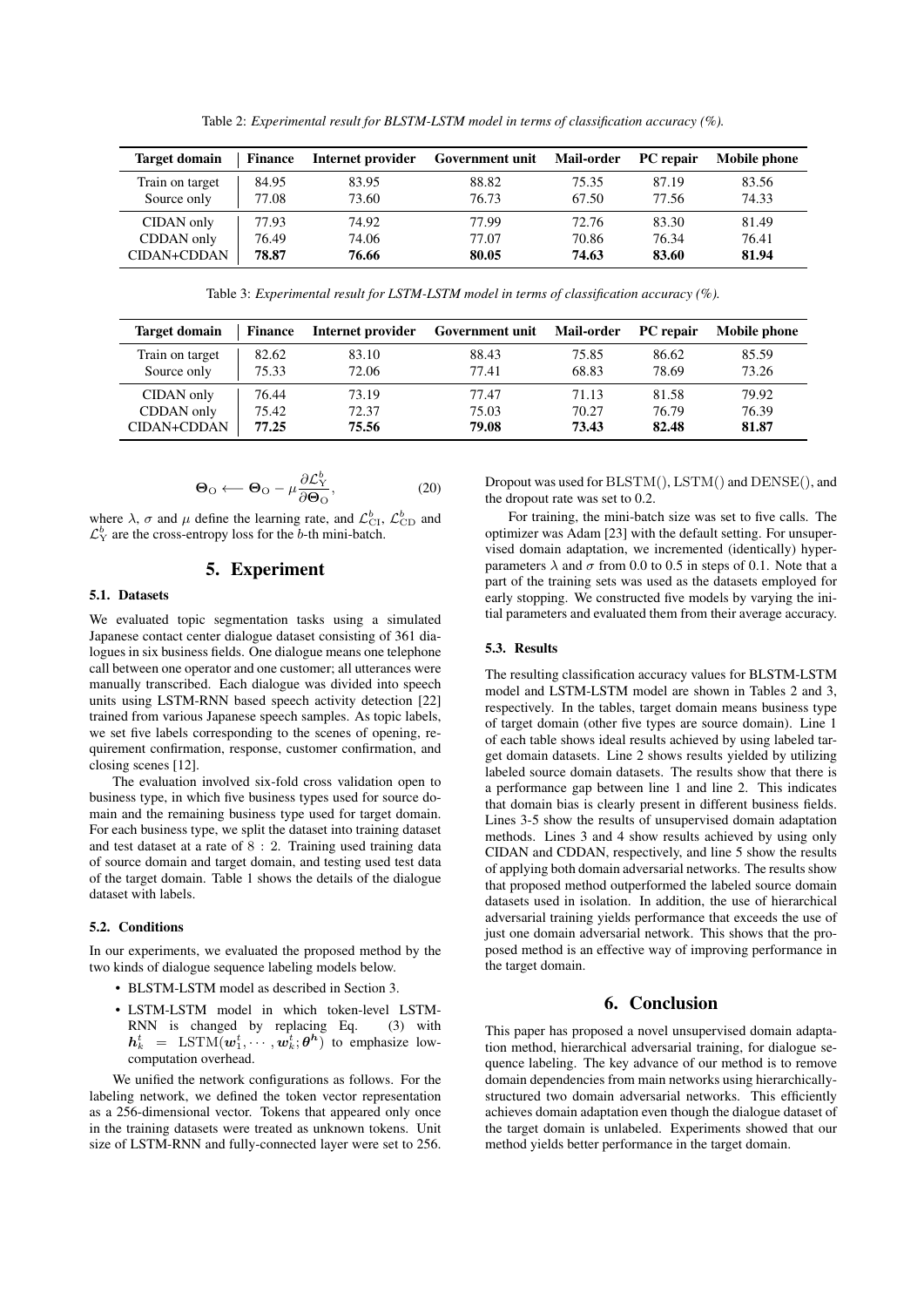Table 2: *Experimental result for BLSTM-LSTM model in terms of classification accuracy (%).*

| <b>Target domain</b> | <b>Finance</b> | Internet provider | Government unit | Mail-order | <b>PC</b> repair | Mobile phone |
|----------------------|----------------|-------------------|-----------------|------------|------------------|--------------|
| Train on target      | 84.95          | 83.95             | 88.82           | 75.35      | 87.19            | 83.56        |
| Source only          | 77.08          | 73.60             | 76.73           | 67.50      | 77.56            | 74.33        |
| CIDAN only           | 77.93          | 74.92             | 77.99           | 72.76      | 83.30            | 81.49        |
| CDDAN only           | 76.49          | 74.06             | 77.07           | 70.86      | 76.34            | 76.41        |
| CIDAN+CDDAN          | 78.87          | 76.66             | 80.05           | 74.63      | 83.60            | 81.94        |

Table 3: *Experimental result for LSTM-LSTM model in terms of classification accuracy (%).*

| <b>Target domain</b> | <b>Finance</b> | Internet provider | Government unit | <b>Mail-order</b> | <b>PC</b> repair | Mobile phone |
|----------------------|----------------|-------------------|-----------------|-------------------|------------------|--------------|
| Train on target      | 82.62          | 83.10             | 88.43           | 75.85             | 86.62            | 85.59        |
| Source only          | 75.33          | 72.06             | 77.41           | 68.83             | 78.69            | 73.26        |
| CIDAN only           | 76.44          | 73.19             | 77.47           | 71.13             | 81.58            | 79.92        |
| CDDAN only           | 75.42          | 72.37             | 75.03           | 70.27             | 76.79            | 76.39        |
| CIDAN+CDDAN          | 77.25          | 75.56             | 79.08           | 73.43             | 82.48            | 81.87        |

$$
\Theta_{\text{O}} \longleftarrow \Theta_{\text{O}} - \mu \frac{\partial \mathcal{L}_{\text{Y}}^b}{\partial \Theta_{\text{O}}},\tag{20}
$$

where  $\lambda$ ,  $\sigma$  and  $\mu$  define the learning rate, and  $\mathcal{L}_{\text{CI}}^{b}$ ,  $\mathcal{L}_{\text{CD}}^{b}$  and  $\mathcal{L}_Y^b$  are the cross-entropy loss for the b-th mini-batch.

# 5. Experiment

#### 5.1. Datasets

We evaluated topic segmentation tasks using a simulated Japanese contact center dialogue dataset consisting of 361 dialogues in six business fields. One dialogue means one telephone call between one operator and one customer; all utterances were manually transcribed. Each dialogue was divided into speech units using LSTM-RNN based speech activity detection [22] trained from various Japanese speech samples. As topic labels, we set five labels corresponding to the scenes of opening, requirement confirmation, response, customer confirmation, and closing scenes [12].

The evaluation involved six-fold cross validation open to business type, in which five business types used for source domain and the remaining business type used for target domain. For each business type, we split the dataset into training dataset and test dataset at a rate of  $8:2$ . Training used training data of source domain and target domain, and testing used test data of the target domain. Table 1 shows the details of the dialogue dataset with labels.

#### 5.2. Conditions

In our experiments, we evaluated the proposed method by the two kinds of dialogue sequence labeling models below.

- BLSTM-LSTM model as described in Section 3.
- LSTM-LSTM model in which token-level LSTM-RNN is changed by replacing Eq. (3) with  $h_k^t = \text{LSTM}(\boldsymbol{w}_1^t, \cdots, \boldsymbol{w}_k^t; \boldsymbol{\theta^h})$  to emphasize lowcomputation overhead.

We unified the network configurations as follows. For the labeling network, we defined the token vector representation as a 256-dimensional vector. Tokens that appeared only once in the training datasets were treated as unknown tokens. Unit size of LSTM-RNN and fully-connected layer were set to 256. Dropout was used for BLSTM(), LSTM() and DENSE(), and the dropout rate was set to 0.2.

For training, the mini-batch size was set to five calls. The optimizer was Adam [23] with the default setting. For unsupervised domain adaptation, we incremented (identically) hyperparameters  $\lambda$  and  $\sigma$  from 0.0 to 0.5 in steps of 0.1. Note that a part of the training sets was used as the datasets employed for early stopping. We constructed five models by varying the initial parameters and evaluated them from their average accuracy.

#### 5.3. Results

The resulting classification accuracy values for BLSTM-LSTM model and LSTM-LSTM model are shown in Tables 2 and 3, respectively. In the tables, target domain means business type of target domain (other five types are source domain). Line 1 of each table shows ideal results achieved by using labeled target domain datasets. Line 2 shows results yielded by utilizing labeled source domain datasets. The results show that there is a performance gap between line 1 and line 2. This indicates that domain bias is clearly present in different business fields. Lines 3-5 show the results of unsupervised domain adaptation methods. Lines 3 and 4 show results achieved by using only CIDAN and CDDAN, respectively, and line 5 show the results of applying both domain adversarial networks. The results show that proposed method outperformed the labeled source domain datasets used in isolation. In addition, the use of hierarchical adversarial training yields performance that exceeds the use of just one domain adversarial network. This shows that the proposed method is an effective way of improving performance in the target domain.

## 6. Conclusion

This paper has proposed a novel unsupervised domain adaptation method, hierarchical adversarial training, for dialogue sequence labeling. The key advance of our method is to remove domain dependencies from main networks using hierarchicallystructured two domain adversarial networks. This efficiently achieves domain adaptation even though the dialogue dataset of the target domain is unlabeled. Experiments showed that our method yields better performance in the target domain.